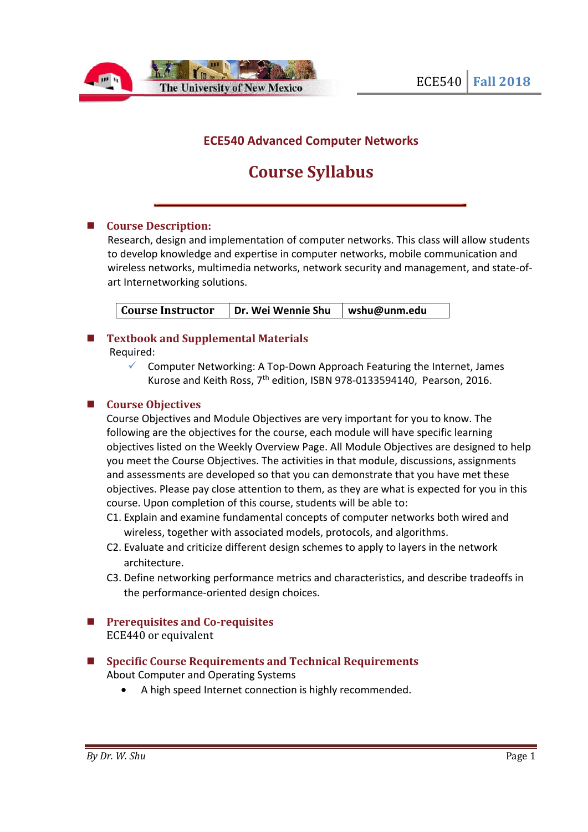

# **ECE540 Advanced Computer Networks**

# **Course Syllabus**

#### **Course Description:**

Research, design and implementation of computer networks. This class will allow students to develop knowledge and expertise in computer networks, mobile communication and wireless networks, multimedia networks, network security and management, and state-ofart Internetworking solutions.

**Course Instructor | Dr. Wei Wennie Shu | wshu@unm.edu** 

# **Textbook and Supplemental Materials**

Required:

 $\checkmark$  Computer Networking: A Top-Down Approach Featuring the Internet, James Kurose and Keith Ross, 7<sup>th</sup> edition, ISBN 978-0133594140, Pearson, 2016.

#### **Course Objectives**

Course Objectives and Module Objectives are very important for you to know. The following are the objectives for the course, each module will have specific learning objectives listed on the Weekly Overview Page. All Module Objectives are designed to help you meet the Course Objectives. The activities in that module, discussions, assignments and assessments are developed so that you can demonstrate that you have met these objectives. Please pay close attention to them, as they are what is expected for you in this course. Upon completion of this course, students will be able to:

- C1. Explain and examine fundamental concepts of computer networks both wired and wireless, together with associated models, protocols, and algorithms.
- C2. Evaluate and criticize different design schemes to apply to layers in the network architecture.
- C3. Define networking performance metrics and characteristics, and describe tradeoffs in the performance-oriented design choices.
- **Prerequisites and Co-requisites**  ECE440 or equivalent
- Specific Course Requirements and Technical Requirements About Computer and Operating Systems
	- A high speed Internet connection is highly recommended.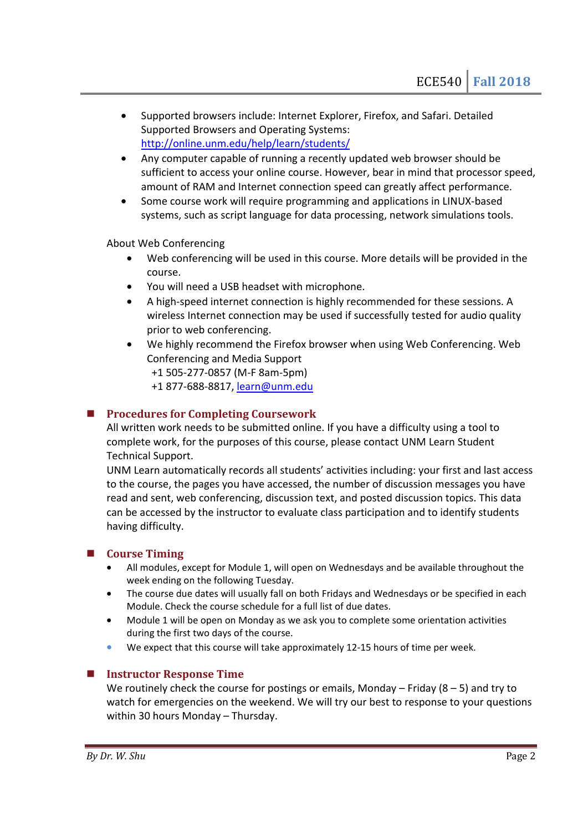- Supported browsers include: Internet Explorer, Firefox, and Safari. Detailed Supported Browsers and Operating Systems: http://online.unm.edu/help/learn/students/
- Any computer capable of running a recently updated web browser should be sufficient to access your online course. However, bear in mind that processor speed, amount of RAM and Internet connection speed can greatly affect performance.
- Some course work will require programming and applications in LINUX-based systems, such as script language for data processing, network simulations tools.

About Web Conferencing

- Web conferencing will be used in this course. More details will be provided in the course.
- You will need a USB headset with microphone.
- A high-speed internet connection is highly recommended for these sessions. A wireless Internet connection may be used if successfully tested for audio quality prior to web conferencing.
- We highly recommend the Firefox browser when using Web Conferencing. Web Conferencing and Media Support

+1 505-277-0857 (M-F 8am-5pm)

+1 877-688-8817, learn@unm.edu

#### **Procedures for Completing Coursework**

All written work needs to be submitted online. If you have a difficulty using a tool to complete work, for the purposes of this course, please contact UNM Learn Student Technical Support.

UNM Learn automatically records all students' activities including: your first and last access to the course, the pages you have accessed, the number of discussion messages you have read and sent, web conferencing, discussion text, and posted discussion topics. This data can be accessed by the instructor to evaluate class participation and to identify students having difficulty.

#### **Course Timing**

- All modules, except for Module 1, will open on Wednesdays and be available throughout the week ending on the following Tuesday.
- The course due dates will usually fall on both Fridays and Wednesdays or be specified in each Module. Check the course schedule for a full list of due dates.
- Module 1 will be open on Monday as we ask you to complete some orientation activities during the first two days of the course.
- We expect that this course will take approximately 12-15 hours of time per week.

## **Instructor Response Time**

We routinely check the course for postings or emails, Monday – Friday  $(8 - 5)$  and try to watch for emergencies on the weekend. We will try our best to response to your questions within 30 hours Monday – Thursday.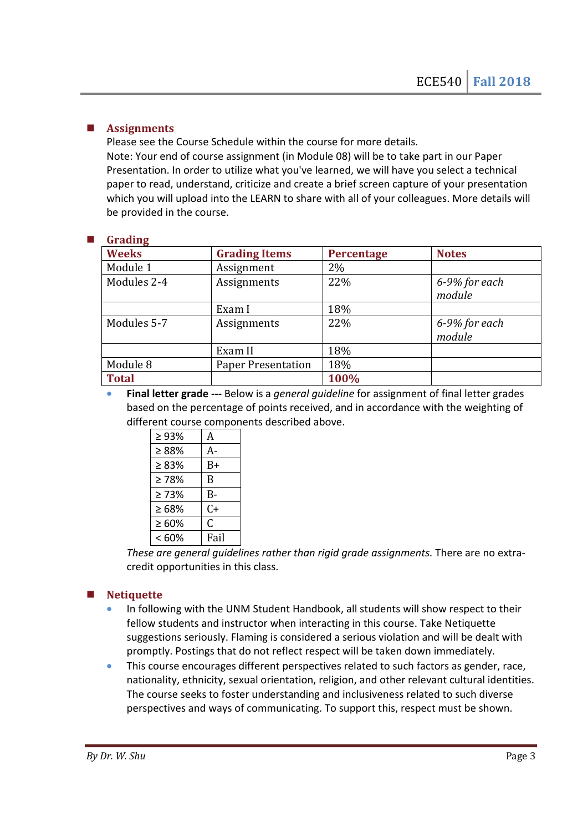# **Assignments**

Please see the Course Schedule within the course for more details. Note: Your end of course assignment (in Module 08) will be to take part in our Paper Presentation. In order to utilize what you've learned, we will have you select a technical paper to read, understand, criticize and create a brief screen capture of your presentation which you will upload into the LEARN to share with all of your colleagues. More details will be provided in the course.

#### **Grading**

| $\mathbf{u}$ . which $\mathbf{v}$ |                           |                   |               |
|-----------------------------------|---------------------------|-------------------|---------------|
| <b>Weeks</b>                      | <b>Grading Items</b>      | <b>Percentage</b> | <b>Notes</b>  |
| Module 1                          | Assignment                | 2%                |               |
| Modules 2-4                       | Assignments               | 22%               | 6-9% for each |
|                                   |                           |                   | module        |
|                                   | Exam I                    | 18%               |               |
| Modules 5-7                       | Assignments               | 22%               | 6-9% for each |
|                                   |                           |                   | module        |
|                                   | Exam II                   | 18%               |               |
| Module 8                          | <b>Paper Presentation</b> | 18%               |               |
| <b>Total</b>                      |                           | 100%              |               |

• **Final letter grade ---** Below is a *general guideline* for assignment of final letter grades based on the percentage of points received, and in accordance with the weighting of different course components described above.

| $\geq 93\%$ | A    |  |
|-------------|------|--|
| > 88%       | А-   |  |
| $\geq 83\%$ | $B+$ |  |
| $\geq 78\%$ | B    |  |
| >73%        | $B-$ |  |
| $\geq 68\%$ | $C+$ |  |
| $\geq 60\%$ | C    |  |
| <60%        | Fail |  |

*These are general guidelines rather than rigid grade assignments.* There are no extracredit opportunities in this class.

## **Netiquette**

- In following with the UNM Student Handbook, all students will show respect to their fellow students and instructor when interacting in this course. Take Netiquette suggestions seriously. Flaming is considered a serious violation and will be dealt with promptly. Postings that do not reflect respect will be taken down immediately.
- This course encourages different perspectives related to such factors as gender, race, nationality, ethnicity, sexual orientation, religion, and other relevant cultural identities. The course seeks to foster understanding and inclusiveness related to such diverse perspectives and ways of communicating. To support this, respect must be shown.